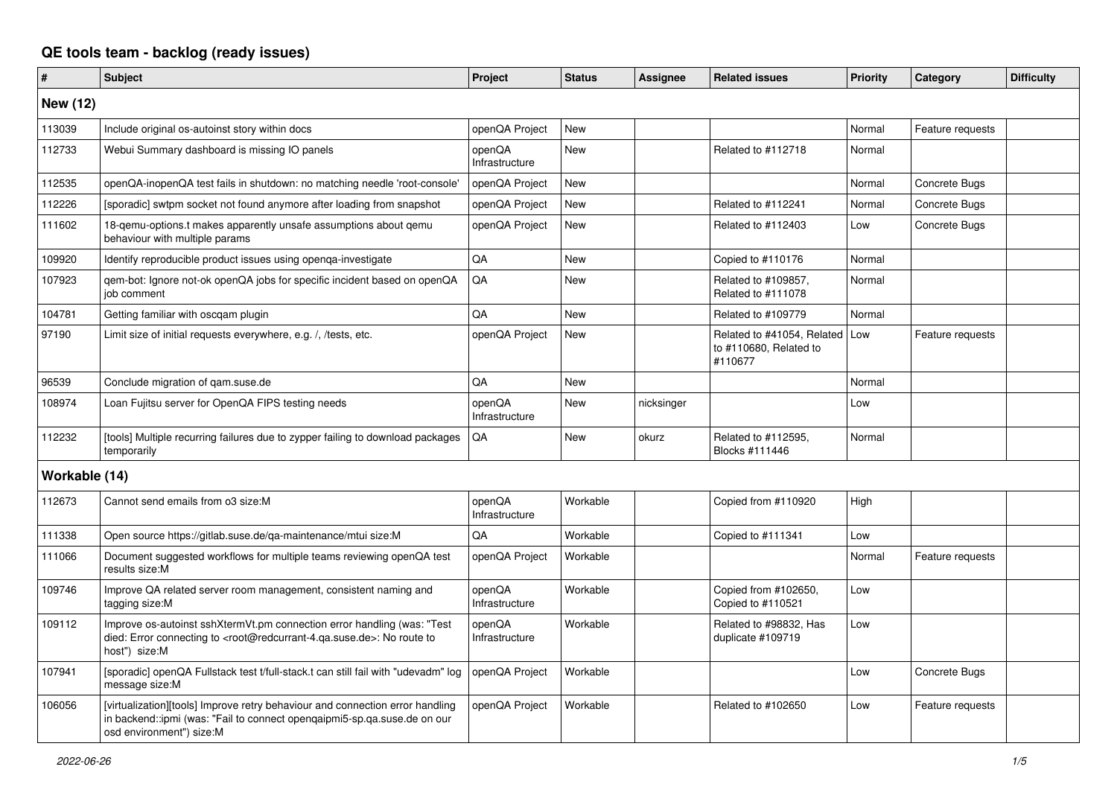## **QE tools team - backlog (ready issues)**

| $\sharp$        | <b>Subject</b>                                                                                                                                                                                    | <b>Project</b>           | <b>Status</b> | <b>Assignee</b> | <b>Related issues</b>                                           | Priority | Category         | <b>Difficulty</b> |
|-----------------|---------------------------------------------------------------------------------------------------------------------------------------------------------------------------------------------------|--------------------------|---------------|-----------------|-----------------------------------------------------------------|----------|------------------|-------------------|
| <b>New (12)</b> |                                                                                                                                                                                                   |                          |               |                 |                                                                 |          |                  |                   |
| 113039          | Include original os-autoinst story within docs                                                                                                                                                    | openQA Project           | <b>New</b>    |                 |                                                                 | Normal   | Feature requests |                   |
| 112733          | Webui Summary dashboard is missing IO panels                                                                                                                                                      | openQA<br>Infrastructure | <b>New</b>    |                 | Related to #112718                                              | Normal   |                  |                   |
| 112535          | openQA-inopenQA test fails in shutdown: no matching needle 'root-console'                                                                                                                         | openQA Project           | <b>New</b>    |                 |                                                                 | Normal   | Concrete Bugs    |                   |
| 112226          | [sporadic] swtpm socket not found anymore after loading from snapshot                                                                                                                             | openQA Project           | <b>New</b>    |                 | Related to #112241                                              | Normal   | Concrete Bugs    |                   |
| 111602          | 18-gemu-options.t makes apparently unsafe assumptions about gemu<br>behaviour with multiple params                                                                                                | openQA Project           | New           |                 | Related to #112403                                              | Low      | Concrete Bugs    |                   |
| 109920          | Identify reproducible product issues using openga-investigate                                                                                                                                     | QA                       | <b>New</b>    |                 | Copied to #110176                                               | Normal   |                  |                   |
| 107923          | gem-bot: Ignore not-ok openQA jobs for specific incident based on openQA<br>job comment                                                                                                           | QA                       | New           |                 | Related to #109857,<br>Related to #111078                       | Normal   |                  |                   |
| 104781          | Getting familiar with oscgam plugin                                                                                                                                                               | QA                       | <b>New</b>    |                 | Related to #109779                                              | Normal   |                  |                   |
| 97190           | Limit size of initial requests everywhere, e.g. /, /tests, etc.                                                                                                                                   | openQA Project           | <b>New</b>    |                 | Related to #41054, Related<br>to #110680, Related to<br>#110677 | l Low    | Feature requests |                   |
| 96539           | Conclude migration of gam.suse.de                                                                                                                                                                 | QA                       | <b>New</b>    |                 |                                                                 | Normal   |                  |                   |
| 108974          | Loan Fujitsu server for OpenQA FIPS testing needs                                                                                                                                                 | openQA<br>Infrastructure | <b>New</b>    | nicksinger      |                                                                 | Low      |                  |                   |
| 112232          | [tools] Multiple recurring failures due to zypper failing to download packages<br>temporarily                                                                                                     | QA                       | <b>New</b>    | okurz           | Related to #112595,<br>Blocks #111446                           | Normal   |                  |                   |
| Workable (14)   |                                                                                                                                                                                                   |                          |               |                 |                                                                 |          |                  |                   |
| 112673          | Cannot send emails from o3 size:M                                                                                                                                                                 | openQA<br>Infrastructure | Workable      |                 | Copied from #110920                                             | High     |                  |                   |
| 111338          | Open source https://gitlab.suse.de/ga-maintenance/mtui size:M                                                                                                                                     | QA                       | Workable      |                 | Copied to #111341                                               | Low      |                  |                   |
| 111066          | Document suggested workflows for multiple teams reviewing openQA test<br>results size:M                                                                                                           | openQA Project           | Workable      |                 |                                                                 | Normal   | Feature requests |                   |
| 109746          | Improve QA related server room management, consistent naming and<br>tagging size:M                                                                                                                | openQA<br>Infrastructure | Workable      |                 | Copied from #102650,<br>Copied to #110521                       | Low      |                  |                   |
| 109112          | Improve os-autoinst sshXtermVt.pm connection error handling (was: "Test<br>died: Error connecting to <root@redcurrant-4.qa.suse.de>: No route to<br/>host") size:M</root@redcurrant-4.qa.suse.de> | openQA<br>Infrastructure | Workable      |                 | Related to #98832. Has<br>duplicate #109719                     | Low      |                  |                   |
| 107941          | [sporadic] openQA Fullstack test t/full-stack.t can still fail with "udevadm" log<br>message size:M                                                                                               | openQA Project           | Workable      |                 |                                                                 | Low      | Concrete Bugs    |                   |
| 106056          | [virtualization][tools] Improve retry behaviour and connection error handling<br>in backend::ipmi (was: "Fail to connect opengaipmi5-sp.ga.suse.de on our<br>osd environment") size:M             | openQA Project           | Workable      |                 | Related to #102650                                              | Low      | Feature requests |                   |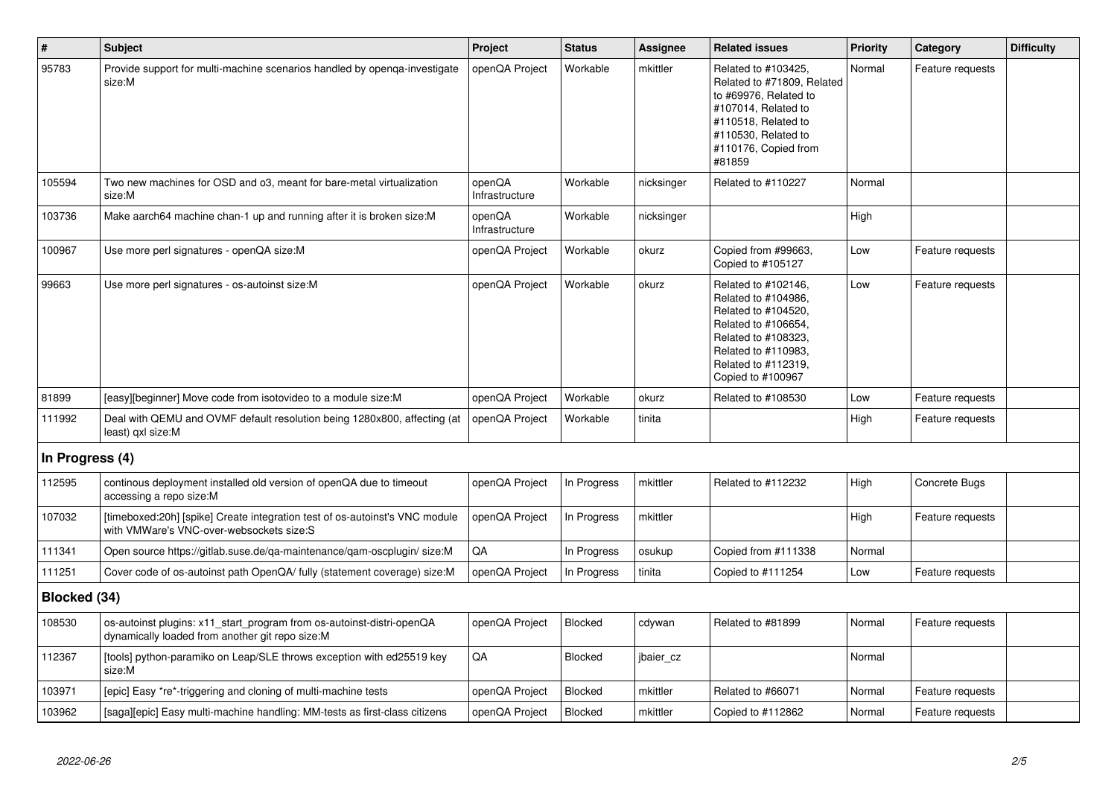| $\vert$ #       | <b>Subject</b>                                                                                                           | Project                  | <b>Status</b>  | <b>Assignee</b> | <b>Related issues</b>                                                                                                                                                              | <b>Priority</b> | Category         | <b>Difficulty</b> |
|-----------------|--------------------------------------------------------------------------------------------------------------------------|--------------------------|----------------|-----------------|------------------------------------------------------------------------------------------------------------------------------------------------------------------------------------|-----------------|------------------|-------------------|
| 95783           | Provide support for multi-machine scenarios handled by openga-investigate<br>size:M                                      | openQA Project           | Workable       | mkittler        | Related to #103425.<br>Related to #71809, Related<br>to #69976, Related to<br>#107014, Related to<br>#110518, Related to<br>#110530, Related to<br>#110176, Copied from<br>#81859  | Normal          | Feature requests |                   |
| 105594          | Two new machines for OSD and o3, meant for bare-metal virtualization<br>size:M                                           | openQA<br>Infrastructure | Workable       | nicksinger      | Related to #110227                                                                                                                                                                 | Normal          |                  |                   |
| 103736          | Make aarch64 machine chan-1 up and running after it is broken size: M                                                    | openQA<br>Infrastructure | Workable       | nicksinger      |                                                                                                                                                                                    | High            |                  |                   |
| 100967          | Use more perl signatures - openQA size:M                                                                                 | openQA Project           | Workable       | okurz           | Copied from #99663,<br>Copied to #105127                                                                                                                                           | Low             | Feature requests |                   |
| 99663           | Use more perl signatures - os-autoinst size:M                                                                            | openQA Project           | Workable       | okurz           | Related to #102146,<br>Related to #104986,<br>Related to #104520,<br>Related to #106654,<br>Related to #108323,<br>Related to #110983,<br>Related to #112319,<br>Copied to #100967 | Low             | Feature requests |                   |
| 81899           | [easy][beginner] Move code from isotovideo to a module size:M                                                            | openQA Project           | Workable       | okurz           | Related to #108530                                                                                                                                                                 | Low             | Feature requests |                   |
| 111992          | Deal with QEMU and OVMF default resolution being 1280x800, affecting (at<br>least) qxl size:M                            | openQA Project           | Workable       | tinita          |                                                                                                                                                                                    | High            | Feature requests |                   |
| In Progress (4) |                                                                                                                          |                          |                |                 |                                                                                                                                                                                    |                 |                  |                   |
| 112595          | continous deployment installed old version of openQA due to timeout<br>accessing a repo size:M                           | openQA Project           | In Progress    | mkittler        | Related to #112232                                                                                                                                                                 | High            | Concrete Bugs    |                   |
| 107032          | [timeboxed:20h] [spike] Create integration test of os-autoinst's VNC module<br>with VMWare's VNC-over-websockets size:S  | openQA Project           | In Progress    | mkittler        |                                                                                                                                                                                    | High            | Feature requests |                   |
| 111341          | Open source https://gitlab.suse.de/qa-maintenance/qam-oscplugin/ size:M                                                  | QA                       | In Progress    | osukup          | Copied from #111338                                                                                                                                                                | Normal          |                  |                   |
| 111251          | Cover code of os-autoinst path OpenQA/ fully (statement coverage) size:M                                                 | openQA Project           | In Progress    | tinita          | Copied to #111254                                                                                                                                                                  | Low             | Feature requests |                   |
| Blocked (34)    |                                                                                                                          |                          |                |                 |                                                                                                                                                                                    |                 |                  |                   |
| 108530          | os-autoinst plugins: x11_start_program from os-autoinst-distri-openQA<br>dynamically loaded from another git repo size:M | openQA Project           | Blocked        | cdywan          | Related to #81899                                                                                                                                                                  | Normal          | Feature requests |                   |
| 112367          | [tools] python-paramiko on Leap/SLE throws exception with ed25519 key<br>size:M                                          | QA                       | Blocked        | jbaier_cz       |                                                                                                                                                                                    | Normal          |                  |                   |
| 103971          | [epic] Easy *re*-triggering and cloning of multi-machine tests                                                           | openQA Project           | <b>Blocked</b> | mkittler        | Related to #66071                                                                                                                                                                  | Normal          | Feature requests |                   |
| 103962          | [saga][epic] Easy multi-machine handling: MM-tests as first-class citizens                                               | openQA Project           | Blocked        | mkittler        | Copied to #112862                                                                                                                                                                  | Normal          | Feature requests |                   |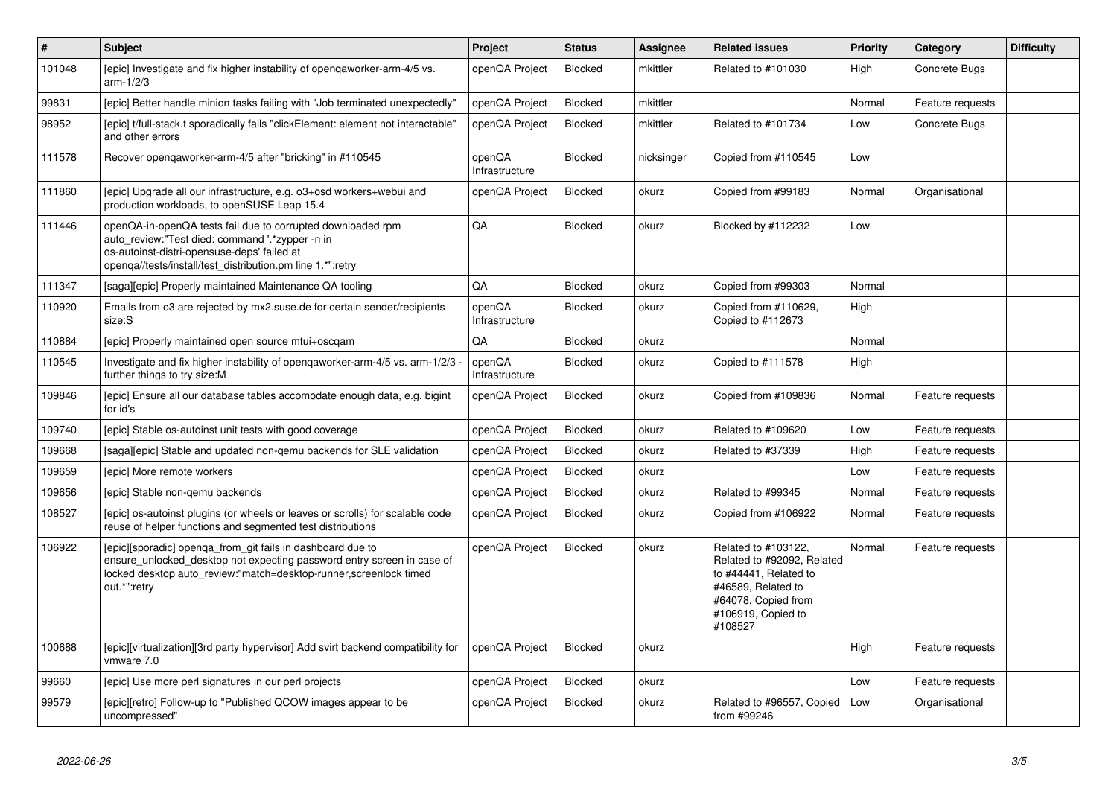| $\vert$ # | <b>Subject</b>                                                                                                                                                                                                              | Project                  | <b>Status</b>  | Assignee   | <b>Related issues</b>                                                                                                                                    | <b>Priority</b> | Category         | <b>Difficulty</b> |
|-----------|-----------------------------------------------------------------------------------------------------------------------------------------------------------------------------------------------------------------------------|--------------------------|----------------|------------|----------------------------------------------------------------------------------------------------------------------------------------------------------|-----------------|------------------|-------------------|
| 101048    | [epic] Investigate and fix higher instability of opengaworker-arm-4/5 vs.<br>$arm-1/2/3$                                                                                                                                    | openQA Project           | Blocked        | mkittler   | Related to #101030                                                                                                                                       | High            | Concrete Bugs    |                   |
| 99831     | [epic] Better handle minion tasks failing with "Job terminated unexpectedly"                                                                                                                                                | openQA Project           | Blocked        | mkittler   |                                                                                                                                                          | Normal          | Feature requests |                   |
| 98952     | [epic] t/full-stack.t sporadically fails "clickElement: element not interactable'<br>and other errors                                                                                                                       | openQA Project           | Blocked        | mkittler   | Related to #101734                                                                                                                                       | Low             | Concrete Bugs    |                   |
| 111578    | Recover opengaworker-arm-4/5 after "bricking" in #110545                                                                                                                                                                    | openQA<br>Infrastructure | Blocked        | nicksinger | Copied from #110545                                                                                                                                      | Low             |                  |                   |
| 111860    | [epic] Upgrade all our infrastructure, e.g. o3+osd workers+webui and<br>production workloads, to openSUSE Leap 15.4                                                                                                         | openQA Project           | <b>Blocked</b> | okurz      | Copied from #99183                                                                                                                                       | Normal          | Organisational   |                   |
| 111446    | openQA-in-openQA tests fail due to corrupted downloaded rpm<br>auto_review:"Test died: command '.*zypper -n in<br>os-autoinst-distri-opensuse-deps' failed at<br>openqa//tests/install/test_distribution.pm line 1.*":retry | QA                       | Blocked        | okurz      | Blocked by #112232                                                                                                                                       | Low             |                  |                   |
| 111347    | [saga][epic] Properly maintained Maintenance QA tooling                                                                                                                                                                     | QA                       | <b>Blocked</b> | okurz      | Copied from #99303                                                                                                                                       | Normal          |                  |                   |
| 110920    | Emails from o3 are rejected by mx2.suse.de for certain sender/recipients<br>size:S                                                                                                                                          | openQA<br>Infrastructure | Blocked        | okurz      | Copied from #110629,<br>Copied to #112673                                                                                                                | High            |                  |                   |
| 110884    | [epic] Properly maintained open source mtui+oscqam                                                                                                                                                                          | QA                       | <b>Blocked</b> | okurz      |                                                                                                                                                          | Normal          |                  |                   |
| 110545    | Investigate and fix higher instability of opengaworker-arm-4/5 vs. arm-1/2/3<br>further things to try size:M                                                                                                                | openQA<br>Infrastructure | Blocked        | okurz      | Copied to #111578                                                                                                                                        | High            |                  |                   |
| 109846    | [epic] Ensure all our database tables accomodate enough data, e.g. bigint<br>for id's                                                                                                                                       | openQA Project           | Blocked        | okurz      | Copied from #109836                                                                                                                                      | Normal          | Feature requests |                   |
| 109740    | [epic] Stable os-autoinst unit tests with good coverage                                                                                                                                                                     | openQA Project           | <b>Blocked</b> | okurz      | Related to #109620                                                                                                                                       | Low             | Feature requests |                   |
| 109668    | [saga][epic] Stable and updated non-gemu backends for SLE validation                                                                                                                                                        | openQA Project           | Blocked        | okurz      | Related to #37339                                                                                                                                        | High            | Feature requests |                   |
| 109659    | [epic] More remote workers                                                                                                                                                                                                  | openQA Project           | Blocked        | okurz      |                                                                                                                                                          | Low             | Feature requests |                   |
| 109656    | [epic] Stable non-gemu backends                                                                                                                                                                                             | openQA Project           | Blocked        | okurz      | Related to #99345                                                                                                                                        | Normal          | Feature requests |                   |
| 108527    | [epic] os-autoinst plugins (or wheels or leaves or scrolls) for scalable code<br>reuse of helper functions and segmented test distributions                                                                                 | openQA Project           | Blocked        | okurz      | Copied from #106922                                                                                                                                      | Normal          | Feature requests |                   |
| 106922    | [epic][sporadic] openqa_from_git fails in dashboard due to<br>ensure_unlocked_desktop not expecting password entry screen in case of<br>locked desktop auto_review:"match=desktop-runner, screenlock timed<br>out.*":retry  | openQA Project           | Blocked        | okurz      | Related to #103122,<br>Related to #92092. Related<br>to #44441, Related to<br>#46589, Related to<br>#64078, Copied from<br>#106919, Copied to<br>#108527 | Normal          | Feature requests |                   |
| 100688    | [epic][virtualization][3rd party hypervisor] Add svirt backend compatibility for<br>vmware 7.0                                                                                                                              | openQA Project           | <b>Blocked</b> | okurz      |                                                                                                                                                          | High            | Feature requests |                   |
| 99660     | [epic] Use more perl signatures in our perl projects                                                                                                                                                                        | openQA Project           | Blocked        | okurz      |                                                                                                                                                          | Low             | Feature requests |                   |
| 99579     | [epic][retro] Follow-up to "Published QCOW images appear to be<br>uncompressed"                                                                                                                                             | openQA Project           | Blocked        | okurz      | Related to #96557, Copied<br>from #99246                                                                                                                 | Low             | Organisational   |                   |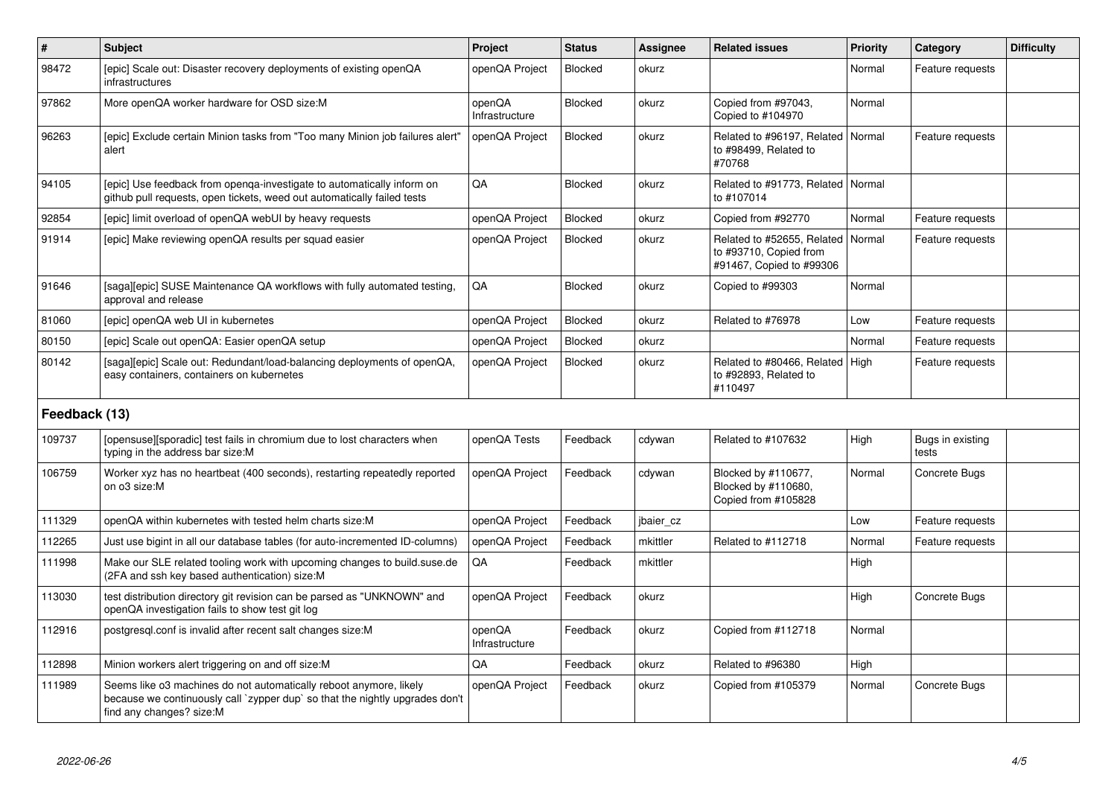| $\#$          | <b>Subject</b>                                                                                                                                                                 | Project                  | <b>Status</b>  | Assignee  | <b>Related issues</b>                                                            | <b>Priority</b> | Category                  | <b>Difficulty</b> |
|---------------|--------------------------------------------------------------------------------------------------------------------------------------------------------------------------------|--------------------------|----------------|-----------|----------------------------------------------------------------------------------|-----------------|---------------------------|-------------------|
| 98472         | [epic] Scale out: Disaster recovery deployments of existing openQA<br>infrastructures                                                                                          | openQA Project           | <b>Blocked</b> | okurz     |                                                                                  | Normal          | Feature requests          |                   |
| 97862         | More openQA worker hardware for OSD size:M                                                                                                                                     | openQA<br>Infrastructure | Blocked        | okurz     | Copied from #97043,<br>Copied to #104970                                         | Normal          |                           |                   |
| 96263         | [epic] Exclude certain Minion tasks from "Too many Minion job failures alert"<br>alert                                                                                         | openQA Project           | Blocked        | okurz     | Related to #96197, Related<br>to #98499, Related to<br>#70768                    | l Normal        | Feature requests          |                   |
| 94105         | [epic] Use feedback from openqa-investigate to automatically inform on<br>github pull requests, open tickets, weed out automatically failed tests                              | QA                       | <b>Blocked</b> | okurz     | Related to #91773, Related   Normal<br>to #107014                                |                 |                           |                   |
| 92854         | [epic] limit overload of openQA webUI by heavy requests                                                                                                                        | openQA Project           | <b>Blocked</b> | okurz     | Copied from #92770                                                               | Normal          | Feature requests          |                   |
| 91914         | [epic] Make reviewing openQA results per squad easier                                                                                                                          | openQA Project           | <b>Blocked</b> | okurz     | Related to #52655, Related<br>to #93710, Copied from<br>#91467, Copied to #99306 | Normal          | Feature requests          |                   |
| 91646         | [saga][epic] SUSE Maintenance QA workflows with fully automated testing,<br>approval and release                                                                               | QA                       | <b>Blocked</b> | okurz     | Copied to #99303                                                                 | Normal          |                           |                   |
| 81060         | [epic] openQA web UI in kubernetes                                                                                                                                             | openQA Project           | <b>Blocked</b> | okurz     | Related to #76978                                                                | Low             | Feature requests          |                   |
| 80150         | [epic] Scale out openQA: Easier openQA setup                                                                                                                                   | openQA Project           | Blocked        | okurz     |                                                                                  | Normal          | Feature requests          |                   |
| 80142         | [saga][epic] Scale out: Redundant/load-balancing deployments of openQA,<br>easy containers, containers on kubernetes                                                           | openQA Project           | <b>Blocked</b> | okurz     | Related to #80466, Related<br>to #92893, Related to<br>#110497                   | High            | Feature requests          |                   |
| Feedback (13) |                                                                                                                                                                                |                          |                |           |                                                                                  |                 |                           |                   |
| 109737        | [opensuse][sporadic] test fails in chromium due to lost characters when<br>typing in the address bar size:M                                                                    | openQA Tests             | Feedback       | cdywan    | Related to #107632                                                               | High            | Bugs in existing<br>tests |                   |
| 106759        | Worker xyz has no heartbeat (400 seconds), restarting repeatedly reported<br>on o3 size:M                                                                                      | openQA Project           | Feedback       | cdywan    | Blocked by #110677,<br>Blocked by #110680,<br>Copied from #105828                | Normal          | Concrete Bugs             |                   |
| 111329        | openQA within kubernetes with tested helm charts size:M                                                                                                                        | openQA Project           | Feedback       | jbaier cz |                                                                                  | Low             | Feature requests          |                   |
| 112265        | Just use bigint in all our database tables (for auto-incremented ID-columns)                                                                                                   | openQA Project           | Feedback       | mkittler  | Related to #112718                                                               | Normal          | Feature requests          |                   |
| 111998        | Make our SLE related tooling work with upcoming changes to build.suse.de<br>(2FA and ssh key based authentication) size:M                                                      | QA                       | Feedback       | mkittler  |                                                                                  | High            |                           |                   |
| 113030        | test distribution directory git revision can be parsed as "UNKNOWN" and<br>openQA investigation fails to show test git log                                                     | openQA Project           | Feedback       | okurz     |                                                                                  | High            | Concrete Bugs             |                   |
| 112916        | postgresgl.conf is invalid after recent salt changes size:M                                                                                                                    | openQA<br>Infrastructure | Feedback       | okurz     | Copied from #112718                                                              | Normal          |                           |                   |
| 112898        | Minion workers alert triggering on and off size:M                                                                                                                              | QA                       | Feedback       | okurz     | Related to #96380                                                                | High            |                           |                   |
| 111989        | Seems like o3 machines do not automatically reboot anymore, likely<br>because we continuously call `zypper dup` so that the nightly upgrades don't<br>find any changes? size:M | openQA Project           | Feedback       | okurz     | Copied from #105379                                                              | Normal          | Concrete Bugs             |                   |